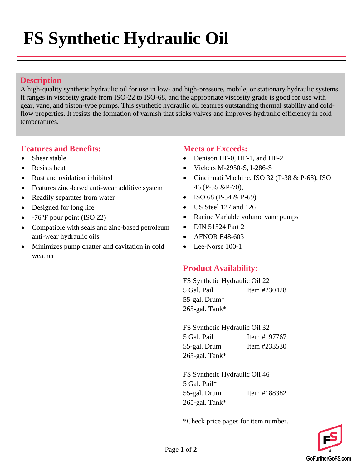# **FS Synthetic Hydraulic Oil**

### **Description**

A high-quality synthetic hydraulic oil for use in low- and high-pressure, mobile, or stationary hydraulic systems. It ranges in viscosity grade from ISO-22 to ISO-68, and the appropriate viscosity grade is good for use with gear, vane, and piston-type pumps. This synthetic hydraulic oil features outstanding thermal stability and coldflow properties. It resists the formation of varnish that sticks valves and improves hydraulic efficiency in cold temperatures.

#### **Features and Benefits:**

- Shear stable
- Resists heat
- Rust and oxidation inhibited
- Features zinc-based anti-wear additive system
- Readily separates from water
- Designed for long life
- -76°F pour point (ISO 22)
- Compatible with seals and zinc-based petroleum anti-wear hydraulic oils
- Minimizes pump chatter and cavitation in cold weather

### **Meets or Exceeds:**

- Denison HF-0, HF-1, and HF-2
- Vickers M-2950-S, I-286-S
- Cincinnati Machine, ISO 32 (P-38 & P-68), ISO 46 (P-55 &P-70),
- ISO 68 (P-54  $&$  P-69)
- US Steel 127 and 126
- Racine Variable volume vane pumps
- DIN 51524 Part 2
- **AFNOR E48-603**
- Lee-Norse 100-1

#### **Product Availability:**

#### FS Synthetic Hydraulic Oil 22

5 Gal. Pail Item #230428 55-gal. Drum\* 265-gal. Tank\*

FS Synthetic Hydraulic Oil 32

| 5 Gal. Pail    | Item #197767 |
|----------------|--------------|
| 55-gal. Drum   | Item #233530 |
| 265-gal. Tank* |              |

FS Synthetic Hydraulic Oil 46 5 Gal. Pail\* 55-gal. Drum Item #188382 265-gal. Tank\*

\*Check price pages for item number.